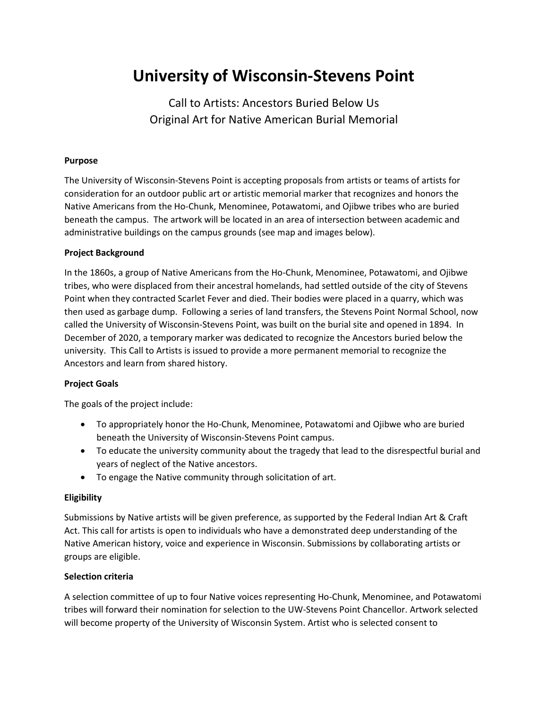# **University of Wisconsin-Stevens Point**

Call to Artists: Ancestors Buried Below Us Original Art for Native American Burial Memorial

## **Purpose**

The University of Wisconsin-Stevens Point is accepting proposals from artists or teams of artists for consideration for an outdoor public art or artistic memorial marker that recognizes and honors the Native Americans from the Ho-Chunk, Menominee, Potawatomi, and Ojibwe tribes who are buried beneath the campus. The artwork will be located in an area of intersection between academic and administrative buildings on the campus grounds (see map and images below).

#### **Project Background**

In the 1860s, a group of Native Americans from the Ho-Chunk, Menominee, Potawatomi, and Ojibwe tribes, who were displaced from their ancestral homelands, had settled outside of the city of Stevens Point when they contracted Scarlet Fever and died. Their bodies were placed in a quarry, which was then used as garbage dump. Following a series of land transfers, the Stevens Point Normal School, now called the University of Wisconsin-Stevens Point, was built on the burial site and opened in 1894. In December of 2020, a temporary marker was dedicated to recognize the Ancestors buried below the university. This Call to Artists is issued to provide a more permanent memorial to recognize the Ancestors and learn from shared history.

## **Project Goals**

The goals of the project include:

- To appropriately honor the Ho-Chunk, Menominee, Potawatomi and Ojibwe who are buried beneath the University of Wisconsin-Stevens Point campus.
- To educate the university community about the tragedy that lead to the disrespectful burial and years of neglect of the Native ancestors.
- To engage the Native community through solicitation of art.

## **Eligibility**

Submissions by Native artists will be given preference, as supported by the Federal Indian Art & Craft Act. This call for artists is open to individuals who have a demonstrated deep understanding of the Native American history, voice and experience in Wisconsin. Submissions by collaborating artists or groups are eligible.

## **Selection criteria**

A selection committee of up to four Native voices representing Ho-Chunk, Menominee, and Potawatomi tribes will forward their nomination for selection to the UW-Stevens Point Chancellor. Artwork selected will become property of the University of Wisconsin System. Artist who is selected consent to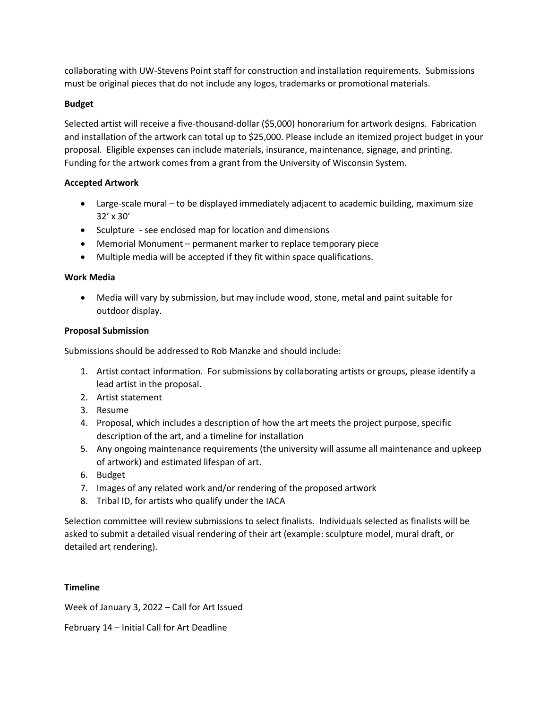collaborating with UW-Stevens Point staff for construction and installation requirements. Submissions must be original pieces that do not include any logos, trademarks or promotional materials.

## **Budget**

Selected artist will receive a five-thousand-dollar (\$5,000) honorarium for artwork designs. Fabrication and installation of the artwork can total up to \$25,000. Please include an itemized project budget in your proposal. Eligible expenses can include materials, insurance, maintenance, signage, and printing. Funding for the artwork comes from a grant from the University of Wisconsin System.

## **Accepted Artwork**

- Large-scale mural to be displayed immediately adjacent to academic building, maximum size 32' x 30'
- Sculpture see enclosed map for location and dimensions
- Memorial Monument permanent marker to replace temporary piece
- Multiple media will be accepted if they fit within space qualifications.

## **Work Media**

• Media will vary by submission, but may include wood, stone, metal and paint suitable for outdoor display.

## **Proposal Submission**

Submissions should be addressed to Rob Manzke and should include:

- 1. Artist contact information. For submissions by collaborating artists or groups, please identify a lead artist in the proposal.
- 2. Artist statement
- 3. Resume
- 4. Proposal, which includes a description of how the art meets the project purpose, specific description of the art, and a timeline for installation
- 5. Any ongoing maintenance requirements (the university will assume all maintenance and upkeep of artwork) and estimated lifespan of art.
- 6. Budget
- 7. Images of any related work and/or rendering of the proposed artwork
- 8. Tribal ID, for artists who qualify under the IACA

Selection committee will review submissions to select finalists. Individuals selected as finalists will be asked to submit a detailed visual rendering of their art (example: sculpture model, mural draft, or detailed art rendering).

## **Timeline**

Week of January 3, 2022 – Call for Art Issued

February 14 – Initial Call for Art Deadline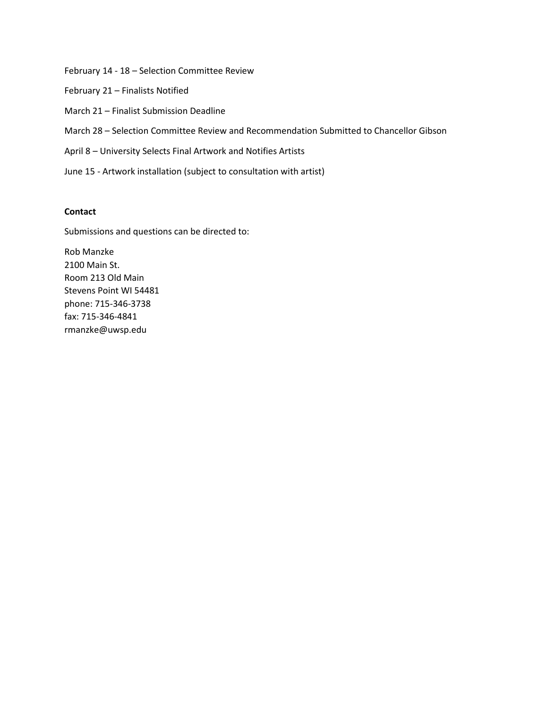February 14 - 18 – Selection Committee Review February 21 – Finalists Notified March 21 – Finalist Submission Deadline March 28 – Selection Committee Review and Recommendation Submitted to Chancellor Gibson April 8 – University Selects Final Artwork and Notifies Artists June 15 - Artwork installation (subject to consultation with artist)

## **Contact**

Submissions and questions can be directed to:

Rob Manzke 2100 Main St. Room 213 Old Main Stevens Point WI 54481 phone: 715-346-3738 fax: 715-346-4841 rmanzke@uwsp.edu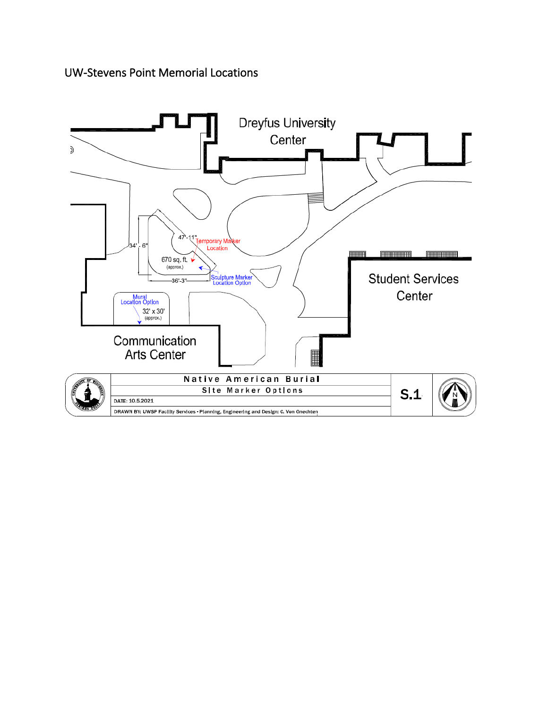UW-Stevens Point Memorial Locations